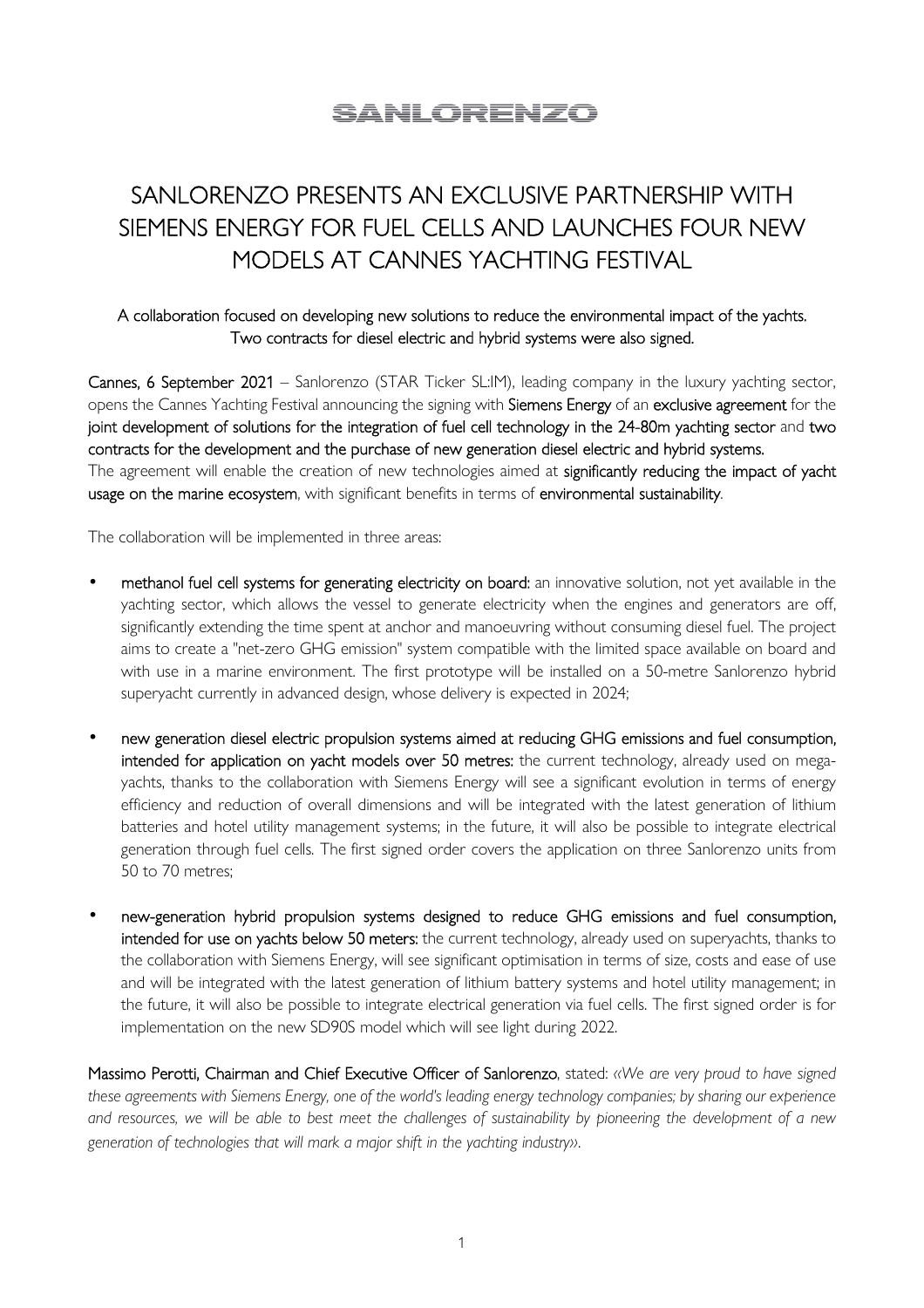# SANI ORENZO

# SANLORENZO PRESENTS AN EXCLUSIVE PARTNERSHIP WITH SIEMENS ENERGY FOR FUEL CELLS AND LAUNCHES FOUR NEW MODELS AT CANNES YACHTING FESTIVAL

# A collaboration focused on developing new solutions to reduce the environmental impact of the yachts. Two contracts for diesel electric and hybrid systems were also signed.

Cannes, 6 September 2021 – Sanlorenzo (STAR Ticker SL:IM), leading company in the luxury yachting sector, opens the Cannes Yachting Festival announcing the signing with Siemens Energy of an exclusive agreement for the joint development of solutions for the integration of fuel cell technology in the 24-80m yachting sector and two contracts for the development and the purchase of new generation diesel electric and hybrid systems. The agreement will enable the creation of new technologies aimed at significantly reducing the impact of yacht usage on the marine ecosystem, with significant benefits in terms of environmental sustainability.

The collaboration will be implemented in three areas:

- methanol fuel cell systems for generating electricity on board: an innovative solution, not yet available in the yachting sector, which allows the vessel to generate electricity when the engines and generators are off, significantly extending the time spent at anchor and manoeuvring without consuming diesel fuel. The project aims to create a "net-zero GHG emission" system compatible with the limited space available on board and with use in a marine environment. The first prototype will be installed on a 50-metre Sanlorenzo hybrid superyacht currently in advanced design, whose delivery is expected in 2024;
- new generation diesel electric propulsion systems aimed at reducing GHG emissions and fuel consumption, intended for application on yacht models over 50 metres: the current technology, already used on megayachts, thanks to the collaboration with Siemens Energy will see a significant evolution in terms of energy efficiency and reduction of overall dimensions and will be integrated with the latest generation of lithium batteries and hotel utility management systems; in the future, it will also be possible to integrate electrical generation through fuel cells. The first signed order covers the application on three Sanlorenzo units from 50 to 70 metres;
- new-generation hybrid propulsion systems designed to reduce GHG emissions and fuel consumption, intended for use on yachts below 50 meters: the current technology, already used on superyachts, thanks to the collaboration with Siemens Energy, will see significant optimisation in terms of size, costs and ease of use and will be integrated with the latest generation of lithium battery systems and hotel utility management; in the future, it will also be possible to integrate electrical generation via fuel cells. The first signed order is for implementation on the new SD90S model which will see light during 2022.

Massimo Perotti, Chairman and Chief Executive Officer of Sanlorenzo, stated: *«We are very proud to have signed these agreements with Siemens Energy, one of the world's leading energy technology companies; by sharing our experience and resources, we will be able to best meet the challenges of sustainability by pioneering the development of a new generation of technologies that will mark a major shift in the yachting industry»*.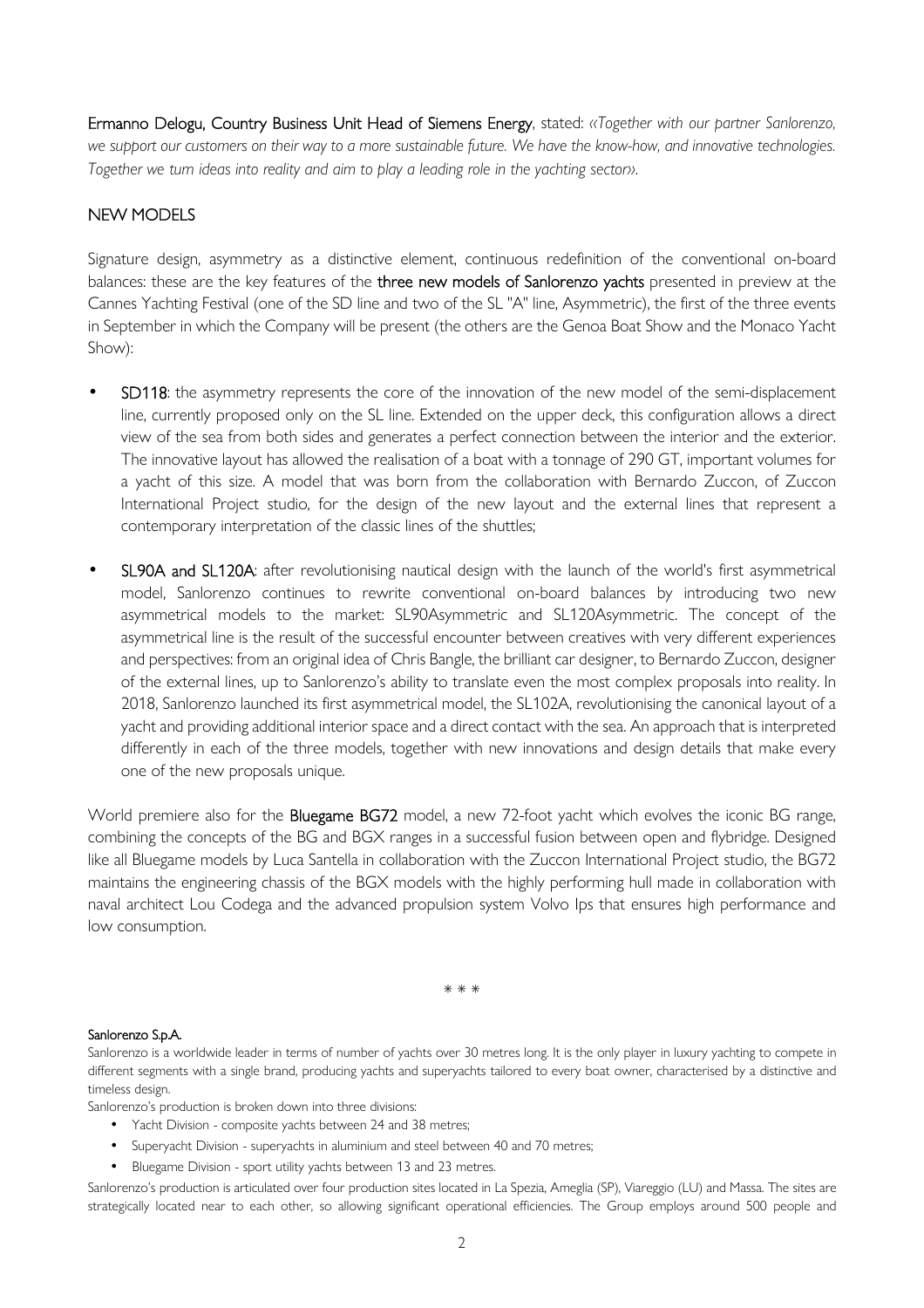Ermanno Delogu, Country Business Unit Head of Siemens Energy, stated: *«Together with our partner Sanlorenzo, we support our customers on their way to a more sustainable future. We have the know-how, and innovative technologies. Together we turn ideas into reality and aim to play a leading role in the yachting sector»*.

# NEW MODELS

Signature design, asymmetry as a distinctive element, continuous redefinition of the conventional on-board balances: these are the key features of the three new models of Sanlorenzo yachts presented in preview at the Cannes Yachting Festival (one of the SD line and two of the SL "A" line, Asymmetric), the first of the three events in September in which the Company will be present (the others are the Genoa Boat Show and the Monaco Yacht Show):

- SD118: the asymmetry represents the core of the innovation of the new model of the semi-displacement line, currently proposed only on the SL line. Extended on the upper deck, this configuration allows a direct view of the sea from both sides and generates a perfect connection between the interior and the exterior. The innovative layout has allowed the realisation of a boat with a tonnage of 290 GT, important volumes for a yacht of this size. A model that was born from the collaboration with Bernardo Zuccon, of Zuccon International Project studio, for the design of the new layout and the external lines that represent a contemporary interpretation of the classic lines of the shuttles;
- SL90A and SL120A: after revolutionising nautical design with the launch of the world's first asymmetrical model, Sanlorenzo continues to rewrite conventional on-board balances by introducing two new asymmetrical models to the market: SL90Asymmetric and SL120Asymmetric. The concept of the asymmetrical line is the result of the successful encounter between creatives with very different experiences and perspectives: from an original idea of Chris Bangle, the brilliant car designer, to Bernardo Zuccon, designer of the external lines, up to Sanlorenzo's ability to translate even the most complex proposals into reality. In 2018, Sanlorenzo launched its first asymmetrical model, the SL102A, revolutionising the canonical layout of a yacht and providing additional interior space and a direct contact with the sea. An approach that is interpreted differently in each of the three models, together with new innovations and design details that make every one of the new proposals unique.

World premiere also for the **Bluegame BG72** model, a new 72-foot yacht which evolves the iconic BG range, combining the concepts of the BG and BGX ranges in a successful fusion between open and flybridge. Designed like all Bluegame models by Luca Santella in collaboration with the Zuccon International Project studio, the BG72 maintains the engineering chassis of the BGX models with the highly performing hull made in collaboration with naval architect Lou Codega and the advanced propulsion system Volvo Ips that ensures high performance and low consumption.

\* \* \*

## Sanlorenzo S.p.A.

Sanlorenzo is a worldwide leader in terms of number of yachts over 30 metres long. It is the only player in luxury yachting to compete in different segments with a single brand, producing yachts and superyachts tailored to every boat owner, characterised by a distinctive and timeless design.

Sanlorenzo's production is broken down into three divisions:

- Yacht Division composite yachts between 24 and 38 metres;
- Superyacht Division superyachts in aluminium and steel between 40 and 70 metres;
- Bluegame Division sport utility yachts between 13 and 23 metres.

Sanlorenzo's production is articulated over four production sites located in La Spezia, Ameglia (SP), Viareggio (LU) and Massa. The sites are strategically located near to each other, so allowing significant operational efficiencies. The Group employs around 500 people and